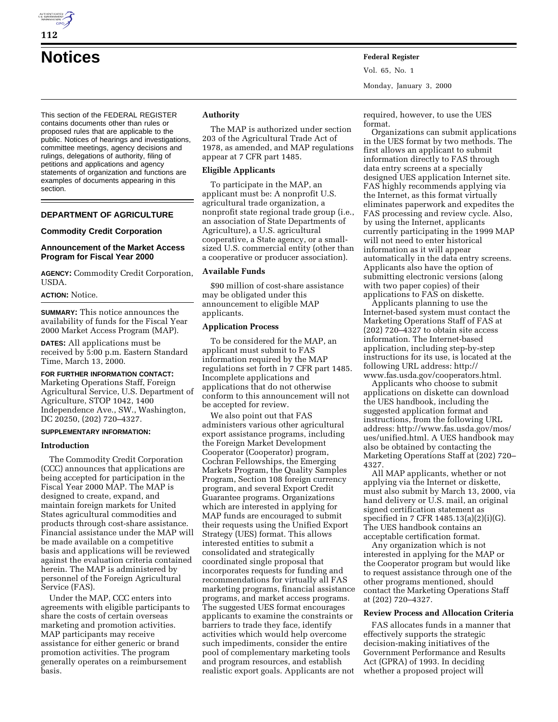This section of the FEDERAL REGISTER contains documents other than rules or proposed rules that are applicable to the public. Notices of hearings and investigations, committee meetings, agency decisions and rulings, delegations of authority, filing of petitions and applications and agency statements of organization and functions are examples of documents appearing in this section.

### **DEPARTMENT OF AGRICULTURE**

#### **Commodity Credit Corporation**

#### **Announcement of the Market Access Program for Fiscal Year 2000**

**AGENCY:** Commodity Credit Corporation, USDA.

## **ACTION:** Notice.

**SUMMARY:** This notice announces the availability of funds for the Fiscal Year 2000 Market Access Program (MAP).

**DATES:** All applications must be received by 5:00 p.m. Eastern Standard Time, March 13, 2000.

## **FOR FURTHER INFORMATION CONTACT:**

Marketing Operations Staff, Foreign Agricultural Service, U.S. Department of Agriculture, STOP 1042, 1400 Independence Ave., SW., Washington, DC 20250, (202) 720–4327.

## **SUPPLEMENTARY INFORMATION:**

#### **Introduction**

The Commodity Credit Corporation (CCC) announces that applications are being accepted for participation in the Fiscal Year 2000 MAP. The MAP is designed to create, expand, and maintain foreign markets for United States agricultural commodities and products through cost-share assistance. Financial assistance under the MAP will be made available on a competitive basis and applications will be reviewed against the evaluation criteria contained herein. The MAP is administered by personnel of the Foreign Agricultural Service (FAS).

Under the MAP, CCC enters into agreements with eligible participants to share the costs of certain overseas marketing and promotion activities. MAP participants may receive assistance for either generic or brand promotion activities. The program generally operates on a reimbursement basis.

#### **Authority**

The MAP is authorized under section 203 of the Agricultural Trade Act of 1978, as amended, and MAP regulations appear at 7 CFR part 1485.

#### **Eligible Applicants**

To participate in the MAP, an applicant must be: A nonprofit U.S. agricultural trade organization, a nonprofit state regional trade group (i.e., an association of State Departments of Agriculture), a U.S. agricultural cooperative, a State agency, or a smallsized U.S. commercial entity (other than a cooperative or producer association).

#### **Available Funds**

\$90 million of cost-share assistance may be obligated under this announcement to eligible MAP applicants.

#### **Application Process**

To be considered for the MAP, an applicant must submit to FAS information required by the MAP regulations set forth in 7 CFR part 1485. Incomplete applications and applications that do not otherwise conform to this announcement will not be accepted for review.

We also point out that FAS administers various other agricultural export assistance programs, including the Foreign Market Development Cooperator (Cooperator) program, Cochran Fellowships, the Emerging Markets Program, the Quality Samples Program, Section 108 foreign currency program, and several Export Credit Guarantee programs. Organizations which are interested in applying for MAP funds are encouraged to submit their requests using the Unified Export Strategy (UES) format. This allows interested entities to submit a consolidated and strategically coordinated single proposal that incorporates requests for funding and recommendations for virtually all FAS marketing programs, financial assistance programs, and market access programs. The suggested UES format encourages applicants to examine the constraints or barriers to trade they face, identify activities which would help overcome such impediments, consider the entire pool of complementary marketing tools and program resources, and establish realistic export goals. Applicants are not

required, however, to use the UES format.

Organizations can submit applications in the UES format by two methods. The first allows an applicant to submit information directly to FAS through data entry screens at a specially designed UES application Internet site. FAS highly recommends applying via the Internet, as this format virtually eliminates paperwork and expedites the FAS processing and review cycle. Also, by using the Internet, applicants currently participating in the 1999 MAP will not need to enter historical information as it will appear automatically in the data entry screens. Applicants also have the option of submitting electronic versions (along with two paper copies) of their applications to FAS on diskette.

Applicants planning to use the Internet-based system must contact the Marketing Operations Staff of FAS at (202) 720–4327 to obtain site access information. The Internet-based application, including step-by-step instructions for its use, is located at the following URL address: http:// www.fas.usda.gov/cooperators.html.

Applicants who choose to submit applications on diskette can download the UES handbook, including the suggested application format and instructions, from the following URL address: http://www.fas.usda.gov/mos/ ues/unified.html. A UES handbook may also be obtained by contacting the Marketing Operations Staff at (202) 720– 4327.

All MAP applicants, whether or not applying via the Internet or diskette, must also submit by March 13, 2000, via hand delivery or U.S. mail, an original signed certification statement as specified in 7 CFR 1485.13(a)(2)(i)(G). The UES handbook contains an acceptable certification format.

Any organization which is not interested in applying for the MAP or the Cooperator program but would like to request assistance through one of the other programs mentioned, should contact the Marketing Operations Staff at (202) 720–4327.

#### **Review Process and Allocation Criteria**

FAS allocates funds in a manner that effectively supports the strategic decision-making initiatives of the Government Performance and Results Act (GPRA) of 1993. In deciding whether a proposed project will

# **Notices Federal Register** Vol. 65, No. 1

Monday, January 3, 2000